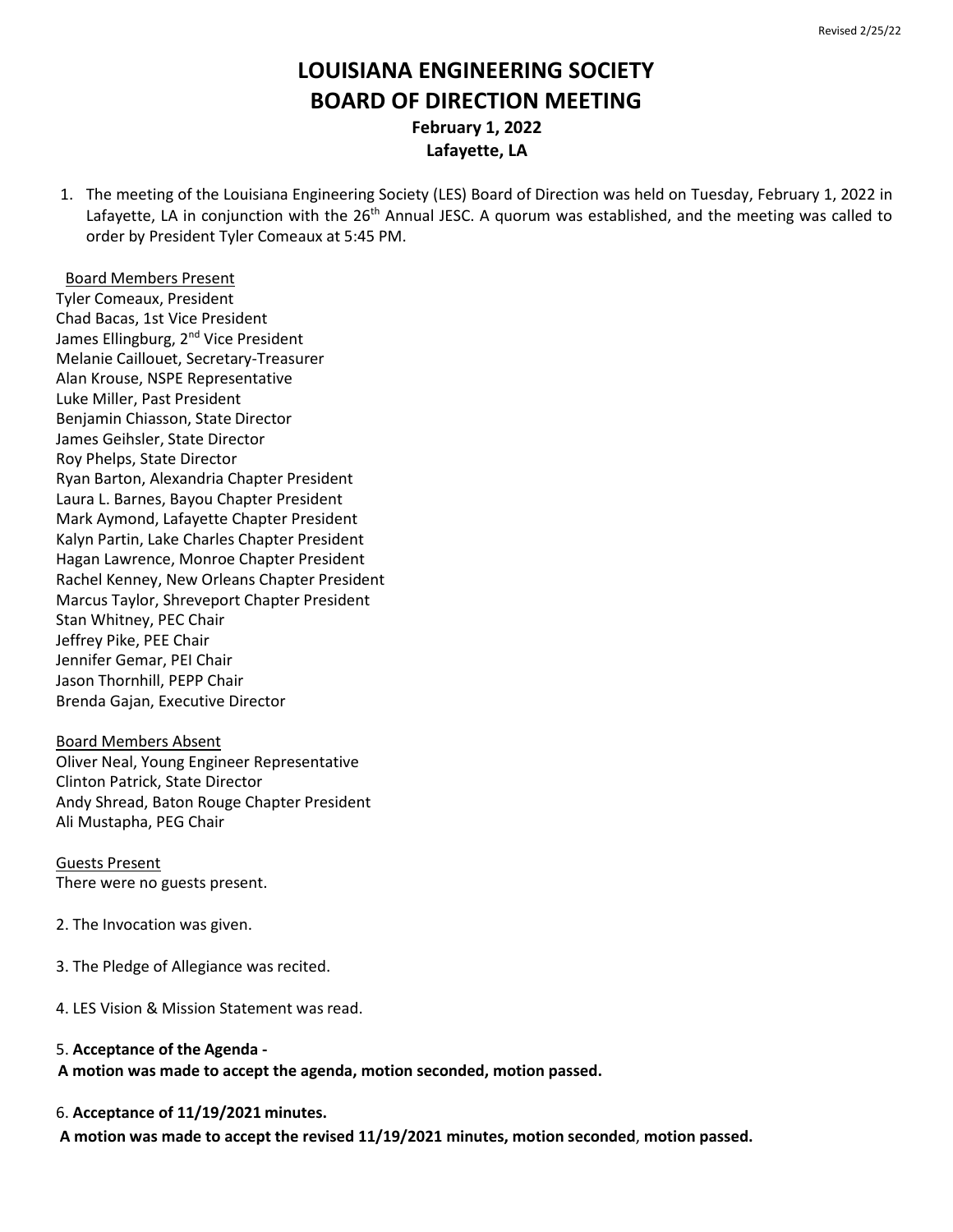# **LOUISIANA ENGINEERING SOCIETY BOARD OF DIRECTION MEETING February 1, 2022 Lafayette, LA**

1. The meeting of the Louisiana Engineering Society (LES) Board of Direction was held on Tuesday, February 1, 2022 in Lafayette, LA in conjunction with the 26<sup>th</sup> Annual JESC. A guorum was established, and the meeting was called to order by President Tyler Comeaux at 5:45 PM.

Board Members Present Tyler Comeaux, President Chad Bacas, 1st Vice President James Ellingburg, 2<sup>nd</sup> Vice President Melanie Caillouet, Secretary-Treasurer Alan Krouse, NSPE Representative

Luke Miller, Past President Benjamin Chiasson, State Director James Geihsler, State Director Roy Phelps, State Director Ryan Barton, Alexandria Chapter President Laura L. Barnes, Bayou Chapter President Mark Aymond, Lafayette Chapter President Kalyn Partin, Lake Charles Chapter President Hagan Lawrence, Monroe Chapter President Rachel Kenney, New Orleans Chapter President Marcus Taylor, Shreveport Chapter President Stan Whitney, PEC Chair Jeffrey Pike, PEE Chair Jennifer Gemar, PEI Chair Jason Thornhill, PEPP Chair Brenda Gajan, Executive Director

Board Members Absent Oliver Neal, Young Engineer Representative Clinton Patrick, State Director Andy Shread, Baton Rouge Chapter President Ali Mustapha, PEG Chair

Guests Present There were no guests present.

2. The Invocation was given.

- 3. The Pledge of Allegiance was recited.
- 4. LES Vision & Mission Statement was read.
- 5. **Acceptance of the Agenda -**

**A motion was made to accept the agenda, motion seconded, motion passed.**

6. **Acceptance of 11/19/2021 minutes.**

 **A motion was made to accept the revised 11/19/2021 minutes, motion seconded**, **motion passed.**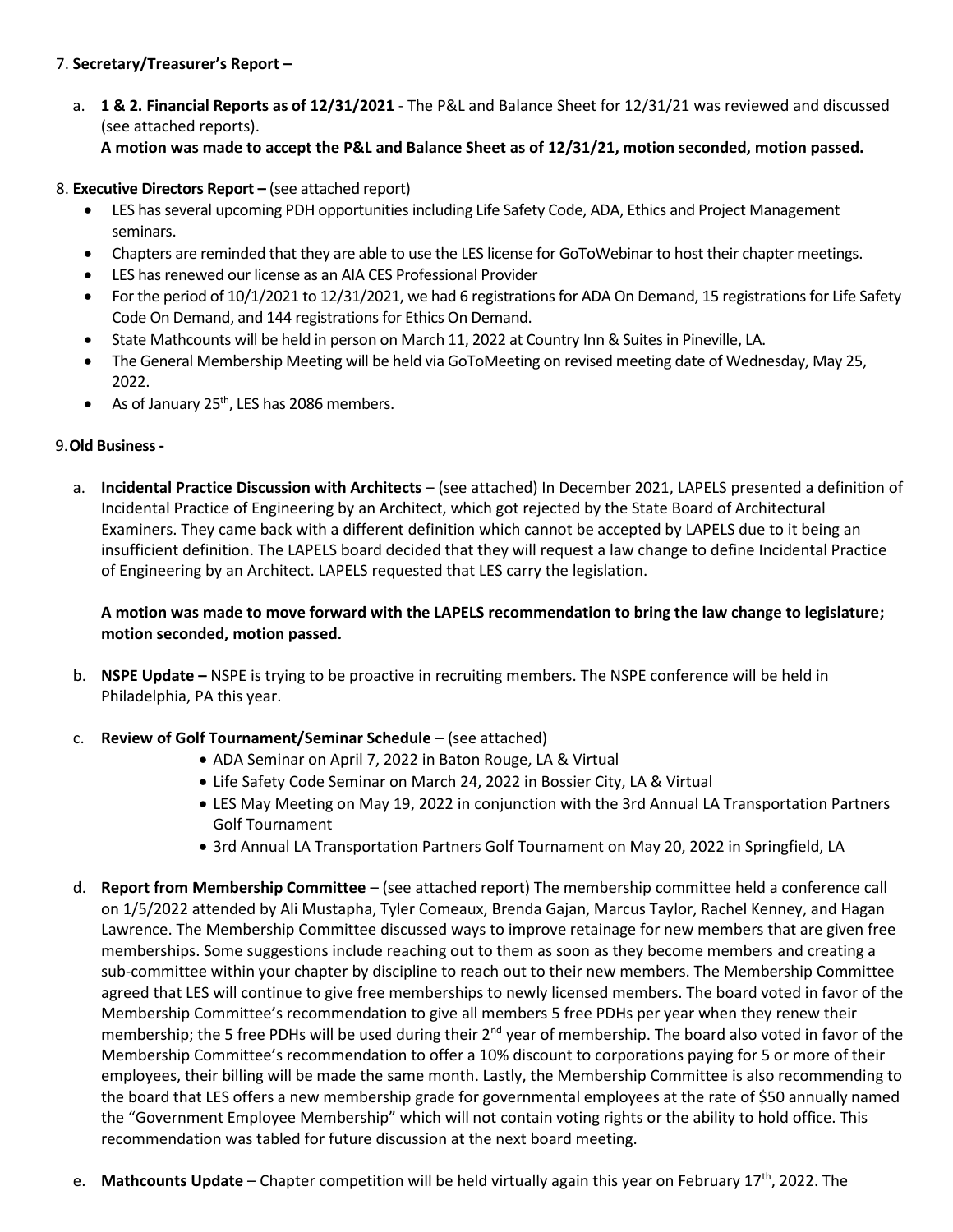# 7. **Secretary/Treasurer's Report –**

- a. **1 & 2. Financial Reports as of 12/31/2021** The P&L and Balance Sheet for 12/31/21 was reviewed and discussed (see attached reports).
	- **A motion was made to accept the P&L and Balance Sheet as of 12/31/21, motion seconded, motion passed.**
- 8. **Executive Directors Report –** (see attached report)
	- LES has several upcoming PDH opportunities including Life Safety Code, ADA, Ethics and Project Management seminars.
	- Chapters are reminded that they are able to use the LES license for GoToWebinar to host their chapter meetings.
	- LES has renewed our license as an AIA CES Professional Provider
	- For the period of 10/1/2021 to 12/31/2021, we had 6 registrations for ADA On Demand, 15 registrations for Life Safety Code On Demand, and 144 registrations for Ethics On Demand.
	- State Mathcounts will be held in person on March 11, 2022 at Country Inn & Suitesin Pineville, LA.
	- The General Membership Meeting will be held via GoToMeeting on revised meeting date of Wednesday, May 25, 2022.
	- As of January  $25<sup>th</sup>$ , LES has 2086 members.

## 9.**Old Business-**

a. **Incidental Practice Discussion with Architects** – (see attached) In December 2021, LAPELS presented a definition of Incidental Practice of Engineering by an Architect, which got rejected by the State Board of Architectural Examiners. They came back with a different definition which cannot be accepted by LAPELS due to it being an insufficient definition. The LAPELS board decided that they will request a law change to define Incidental Practice of Engineering by an Architect. LAPELS requested that LES carry the legislation.

# **A motion was made to move forward with the LAPELS recommendation to bring the law change to legislature; motion seconded, motion passed.**

b. **NSPE Update –** NSPE is trying to be proactive in recruiting members. The NSPE conference will be held in Philadelphia, PA this year.

#### c. **Review of Golf Tournament/Seminar Schedule** – (see attached)

- ADA Seminar on April 7, 2022 in Baton Rouge, LA & Virtual
- Life Safety Code Seminar on March 24, 2022 in Bossier City, LA & Virtual
- LES May Meeting on May 19, 2022 in conjunction with the 3rd Annual LA Transportation Partners Golf Tournament
- 3rd Annual LA Transportation Partners Golf Tournament on May 20, 2022 in Springfield, LA
- d. **Report from Membership Committee** (see attached report) The membership committee held a conference call on 1/5/2022 attended by Ali Mustapha, Tyler Comeaux, Brenda Gajan, Marcus Taylor, Rachel Kenney, and Hagan Lawrence. The Membership Committee discussed ways to improve retainage for new members that are given free memberships. Some suggestions include reaching out to them as soon as they become members and creating a sub-committee within your chapter by discipline to reach out to their new members. The Membership Committee agreed that LES will continue to give free memberships to newly licensed members. The board voted in favor of the Membership Committee's recommendation to give all members 5 free PDHs per year when they renew their membership; the 5 free PDHs will be used during their 2<sup>nd</sup> year of membership. The board also voted in favor of the Membership Committee's recommendation to offer a 10% discount to corporations paying for 5 or more of their employees, their billing will be made the same month. Lastly, the Membership Committee is also recommending to the board that LES offers a new membership grade for governmental employees at the rate of \$50 annually named the "Government Employee Membership" which will not contain voting rights or the ability to hold office. This recommendation was tabled for future discussion at the next board meeting.
- e. **Mathcounts Update**  Chapter competition will be held virtually again this year on February 17th, 2022. The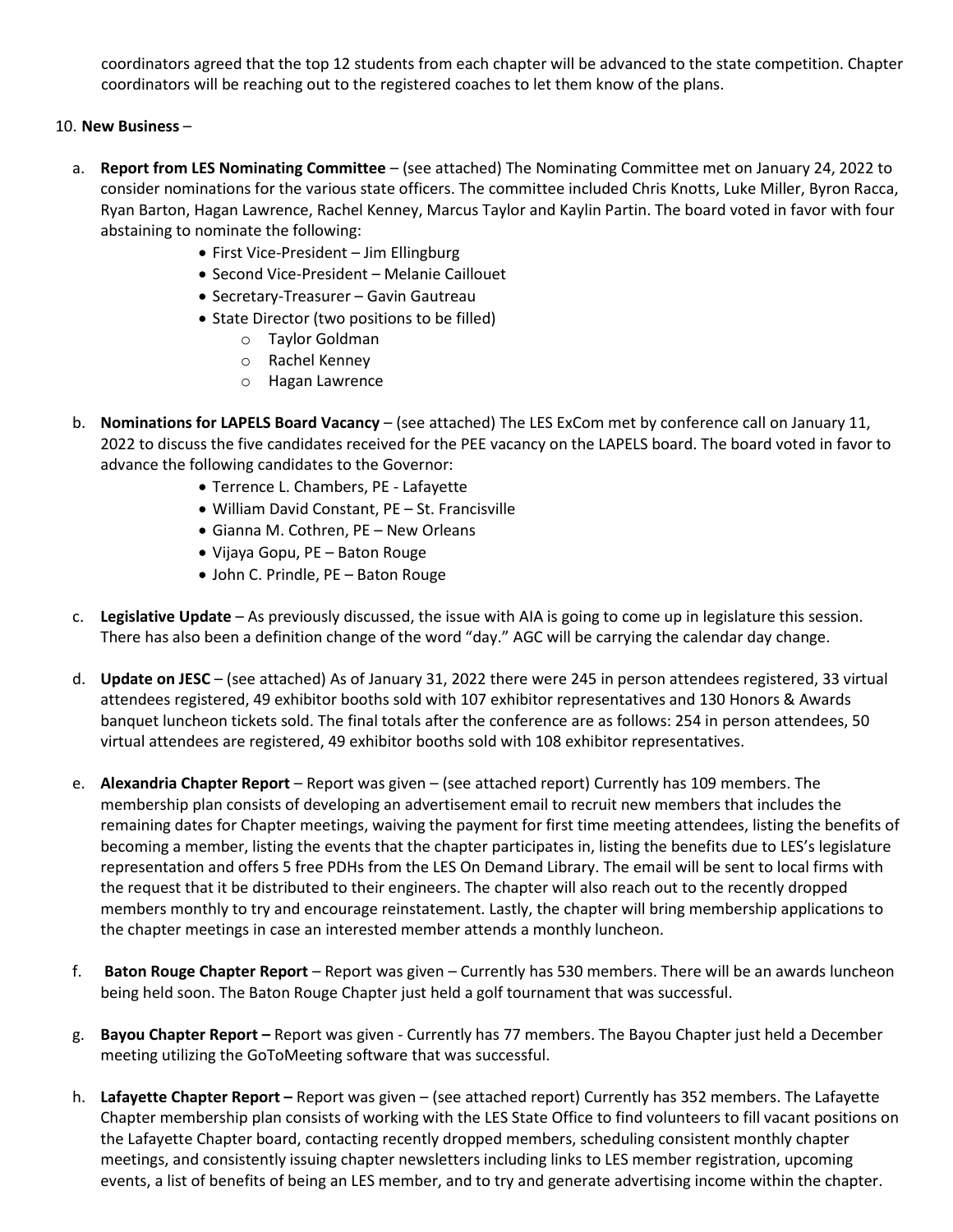coordinators agreed that the top 12 students from each chapter will be advanced to the state competition. Chapter coordinators will be reaching out to the registered coaches to let them know of the plans.

## 10. **New Business** –

- a. **Report from LES Nominating Committee**  (see attached) The Nominating Committee met on January 24, 2022 to consider nominations for the various state officers. The committee included Chris Knotts, Luke Miller, Byron Racca, Ryan Barton, Hagan Lawrence, Rachel Kenney, Marcus Taylor and Kaylin Partin. The board voted in favor with four abstaining to nominate the following:
	- First Vice-President Jim Ellingburg
	- Second Vice-President Melanie Caillouet
	- Secretary-Treasurer Gavin Gautreau
	- State Director (two positions to be filled)
		- o Taylor Goldman
		- o Rachel Kenney
		- o Hagan Lawrence
- b. **Nominations for LAPELS Board Vacancy** (see attached) The LES ExCom met by conference call on January 11, 2022 to discuss the five candidates received for the PEE vacancy on the LAPELS board. The board voted in favor to advance the following candidates to the Governor:
	- Terrence L. Chambers, PE Lafayette
	- William David Constant, PE St. Francisville
	- Gianna M. Cothren, PE New Orleans
	- Vijaya Gopu, PE Baton Rouge
	- John C. Prindle, PE Baton Rouge
- c. **Legislative Update** As previously discussed, the issue with AIA is going to come up in legislature this session. There has also been a definition change of the word "day." AGC will be carrying the calendar day change.
- d. **Update on JESC** (see attached) As of January 31, 2022 there were 245 in person attendees registered, 33 virtual attendees registered, 49 exhibitor booths sold with 107 exhibitor representatives and 130 Honors & Awards banquet luncheon tickets sold. The final totals after the conference are as follows: 254 in person attendees, 50 virtual attendees are registered, 49 exhibitor booths sold with 108 exhibitor representatives.
- e. **Alexandria Chapter Report** Report was given (see attached report) Currently has 109 members. The membership plan consists of developing an advertisement email to recruit new members that includes the remaining dates for Chapter meetings, waiving the payment for first time meeting attendees, listing the benefits of becoming a member, listing the events that the chapter participates in, listing the benefits due to LES's legislature representation and offers 5 free PDHs from the LES On Demand Library. The email will be sent to local firms with the request that it be distributed to their engineers. The chapter will also reach out to the recently dropped members monthly to try and encourage reinstatement. Lastly, the chapter will bring membership applications to the chapter meetings in case an interested member attends a monthly luncheon.
- f. **Baton Rouge Chapter Report** Report was given Currently has 530 members. There will be an awards luncheon being held soon. The Baton Rouge Chapter just held a golf tournament that was successful.
- g. **Bayou Chapter Report –** Report was given Currently has 77 members. The Bayou Chapter just held a December meeting utilizing the GoToMeeting software that was successful.
- h. **Lafayette Chapter Report –** Report was given (see attached report) Currently has 352 members. The Lafayette Chapter membership plan consists of working with the LES State Office to find volunteers to fill vacant positions on the Lafayette Chapter board, contacting recently dropped members, scheduling consistent monthly chapter meetings, and consistently issuing chapter newsletters including links to LES member registration, upcoming events, a list of benefits of being an LES member, and to try and generate advertising income within the chapter.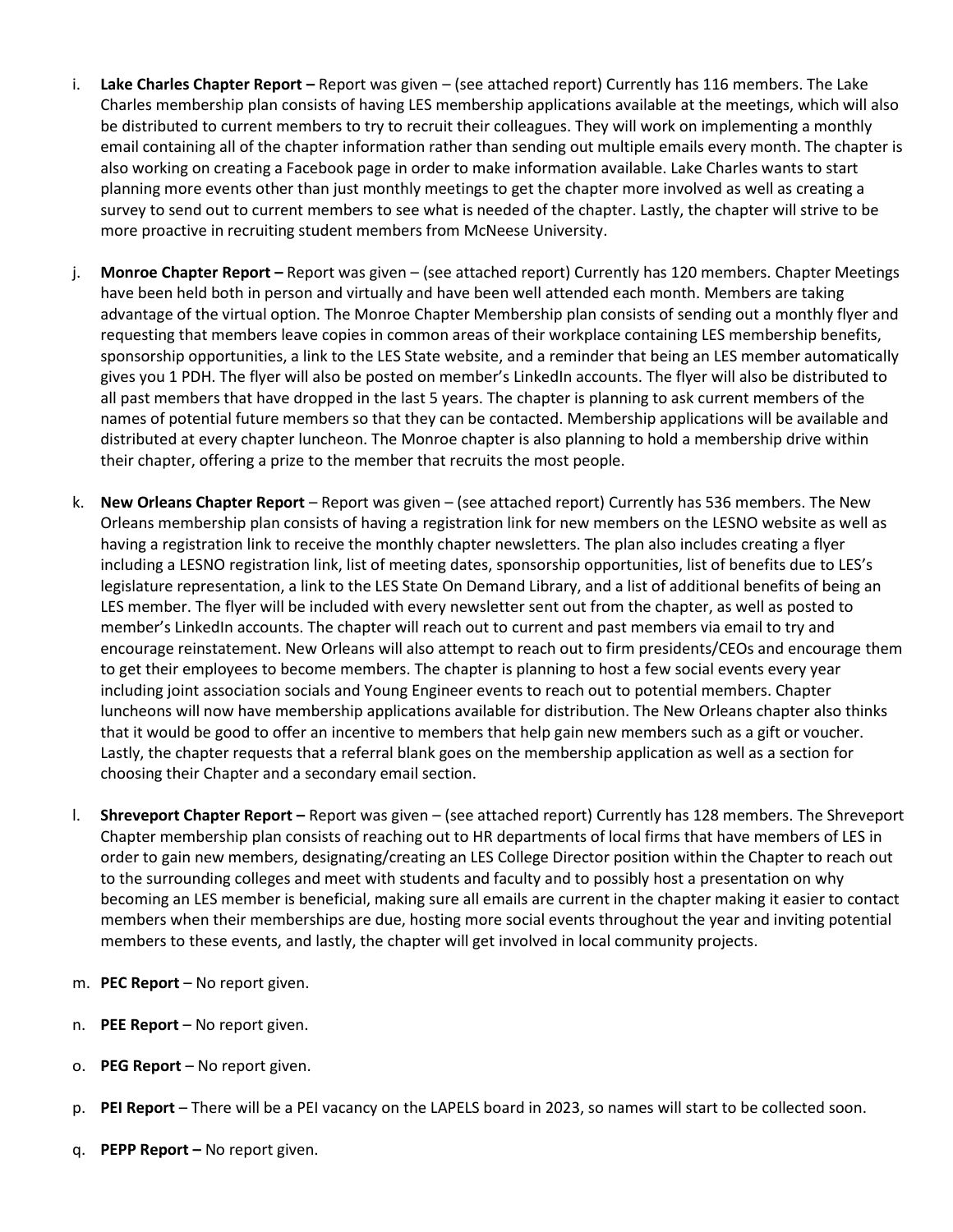- i. **Lake Charles Chapter Report –** Report was given (see attached report) Currently has 116 members. The Lake Charles membership plan consists of having LES membership applications available at the meetings, which will also be distributed to current members to try to recruit their colleagues. They will work on implementing a monthly email containing all of the chapter information rather than sending out multiple emails every month. The chapter is also working on creating a Facebook page in order to make information available. Lake Charles wants to start planning more events other than just monthly meetings to get the chapter more involved as well as creating a survey to send out to current members to see what is needed of the chapter. Lastly, the chapter will strive to be more proactive in recruiting student members from McNeese University.
- j. **Monroe Chapter Report –** Report was given (see attached report) Currently has 120 members. Chapter Meetings have been held both in person and virtually and have been well attended each month. Members are taking advantage of the virtual option. The Monroe Chapter Membership plan consists of sending out a monthly flyer and requesting that members leave copies in common areas of their workplace containing LES membership benefits, sponsorship opportunities, a link to the LES State website, and a reminder that being an LES member automatically gives you 1 PDH. The flyer will also be posted on member's LinkedIn accounts. The flyer will also be distributed to all past members that have dropped in the last 5 years. The chapter is planning to ask current members of the names of potential future members so that they can be contacted. Membership applications will be available and distributed at every chapter luncheon. The Monroe chapter is also planning to hold a membership drive within their chapter, offering a prize to the member that recruits the most people.
- k. **New Orleans Chapter Report** Report was given (see attached report) Currently has 536 members. The New Orleans membership plan consists of having a registration link for new members on the LESNO website as well as having a registration link to receive the monthly chapter newsletters. The plan also includes creating a flyer including a LESNO registration link, list of meeting dates, sponsorship opportunities, list of benefits due to LES's legislature representation, a link to the LES State On Demand Library, and a list of additional benefits of being an LES member. The flyer will be included with every newsletter sent out from the chapter, as well as posted to member's LinkedIn accounts. The chapter will reach out to current and past members via email to try and encourage reinstatement. New Orleans will also attempt to reach out to firm presidents/CEOs and encourage them to get their employees to become members. The chapter is planning to host a few social events every year including joint association socials and Young Engineer events to reach out to potential members. Chapter luncheons will now have membership applications available for distribution. The New Orleans chapter also thinks that it would be good to offer an incentive to members that help gain new members such as a gift or voucher. Lastly, the chapter requests that a referral blank goes on the membership application as well as a section for choosing their Chapter and a secondary email section.
- l. **Shreveport Chapter Report –** Report was given (see attached report) Currently has 128 members. The Shreveport Chapter membership plan consists of reaching out to HR departments of local firms that have members of LES in order to gain new members, designating/creating an LES College Director position within the Chapter to reach out to the surrounding colleges and meet with students and faculty and to possibly host a presentation on why becoming an LES member is beneficial, making sure all emails are current in the chapter making it easier to contact members when their memberships are due, hosting more social events throughout the year and inviting potential members to these events, and lastly, the chapter will get involved in local community projects.
- m. **PEC Report**  No report given.
- n. **PEE Report**  No report given.
- o. **PEG Report**  No report given.
- p. **PEI Report** There will be a PEI vacancy on the LAPELS board in 2023, so names will start to be collected soon.
- q. **PEPP Report –** No report given.